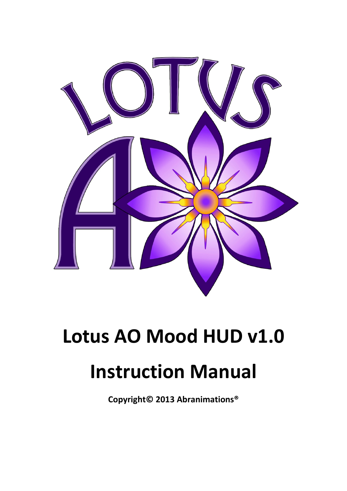

# **Lotus AO Mood HUD v1.0 Instruction Manual**

**Copyright© 2013 Abranimations®**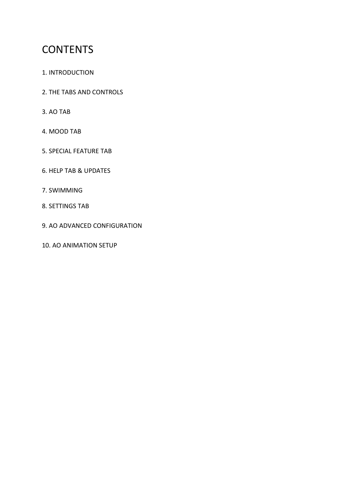# **CONTENTS**

- 1. INTRODUCTION
- 2. THE TABS AND CONTROLS
- 3. AO TAB
- 4. MOOD TAB
- 5. SPECIAL FEATURE TAB
- 6. HELP TAB & UPDATES
- 7. SWIMMING
- 8. SETTINGS TAB
- 9. AO ADVANCED CONFIGURATION
- 10. AO ANIMATION SETUP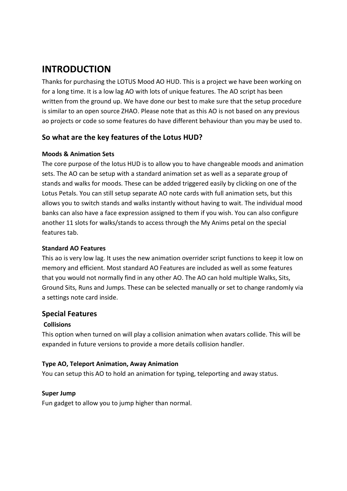## **INTRODUCTION**

Thanks for purchasing the LOTUS Mood AO HUD. This is a project we have been working on for a long time. It is a low lag AO with lots of unique features. The AO script has been written from the ground up. We have done our best to make sure that the setup procedure is similar to an open source ZHAO. Please note that as this AO is not based on any previous ao projects or code so some features do have different behaviour than you may be used to.

## **So what are the key features of the Lotus HUD?**

#### **Moods & Animation Sets**

The core purpose of the lotus HUD is to allow you to have changeable moods and animation sets. The AO can be setup with a standard animation set as well as a separate group of stands and walks for moods. These can be added triggered easily by clicking on one of the Lotus Petals. You can still setup separate AO note cards with full animation sets, but this allows you to switch stands and walks instantly without having to wait. The individual mood banks can also have a face expression assigned to them if you wish. You can also configure another 11 slots for walks/stands to access through the My Anims petal on the special features tab.

#### **Standard AO Features**

This ao is very low lag. It uses the new animation overrider script functions to keep it low on memory and efficient. Most standard AO Features are included as well as some features that you would not normally find in any other AO. The AO can hold multiple Walks, Sits, Ground Sits, Runs and Jumps. These can be selected manually or set to change randomly via a settings note card inside.

## **Special Features**

## **Collisions**

This option when turned on will play a collision animation when avatars collide. This will be expanded in future versions to provide a more details collision handler.

#### **Type AO, Teleport Animation, Away Animation**

You can setup this AO to hold an animation for typing, teleporting and away status.

#### **Super Jump**

Fun gadget to allow you to jump higher than normal.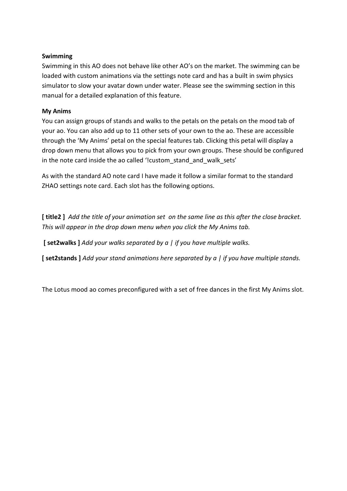#### **Swimming**

Swimming in this AO does not behave like other AO's on the market. The swimming can be loaded with custom animations via the settings note card and has a built in swim physics simulator to slow your avatar down under water. Please see the swimming section in this manual for a detailed explanation of this feature.

#### **My Anims**

You can assign groups of stands and walks to the petals on the petals on the mood tab of your ao. You can also add up to 11 other sets of your own to the ao. These are accessible through the 'My Anims' petal on the special features tab. Clicking this petal will display a drop down menu that allows you to pick from your own groups. These should be configured in the note card inside the ao called '!custom\_stand\_and\_walk\_sets'

As with the standard AO note card I have made it follow a similar format to the standard ZHAO settings note card. Each slot has the following options.

**[ title2 ]** *Add the title of your animation set on the same line as this after the close bracket. This will appear in the drop down menu when you click the My Anims tab.*

**[ set2walks ]** *Add your walks separated by a | if you have multiple walks.*

**[ set2stands ]** *Add your stand animations here separated by a | if you have multiple stands.*

The Lotus mood ao comes preconfigured with a set of free dances in the first My Anims slot.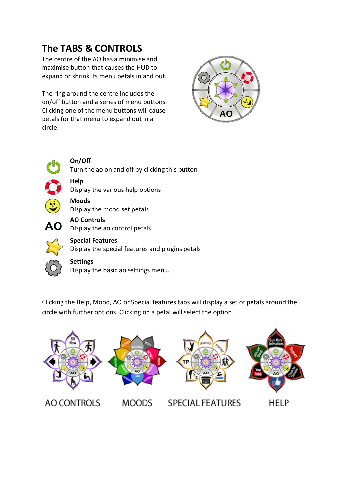# **The TABS & CONTROLS**

The centre of the AO has a minimise and maximise button that causes the HUD to expand or shrink its menu petals in and out.

The ring around the centre includes the on/off button and a series of menu buttons. Clicking one of the menu buttons will cause petals for that menu to expand out in a circle.





**On/Off** Turn the ao on and off by clicking this button

**Help** Display the various help options

**Moods** Display the mood set petals

**AO Controls AO** Display the ao control petals



**Special Features** Display the special features and plugins petals

**Settings** Display the basic ao settings menu.

Clicking the Help, Mood, AO or Special features tabs will display a set of petals around the circle with further options. Clicking on a petal will select the option.

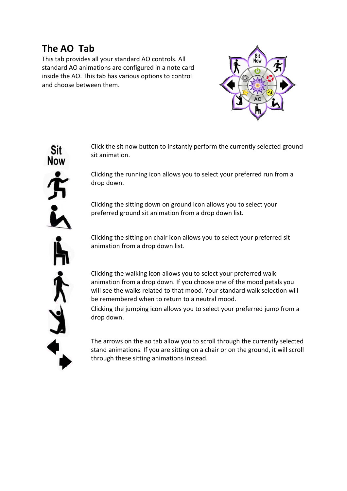## **The AO Tab**

This tab provides all your standard AO controls. All standard AO animations are configured in a note card inside the AO. This tab has various options to control and choose between them.



Click the sit now button to instantly perform the currently selected ground sit animation.

Clicking the running icon allows you to select your preferred run from a drop down.

Clicking the sitting down on ground icon allows you to select your preferred ground sit animation from a drop down list.

Clicking the sitting on chair icon allows you to select your preferred sit animation from a drop down list.

Clicking the walking icon allows you to select your preferred walk animation from a drop down. If you choose one of the mood petals you will see the walks related to that mood. Your standard walk selection will be remembered when to return to a neutral mood.

Clicking the jumping icon allows you to select your preferred jump from a drop down.

The arrows on the ao tab allow you to scroll through the currently selected stand animations. If you are sitting on a chair or on the ground, it will scroll through these sitting animations instead.

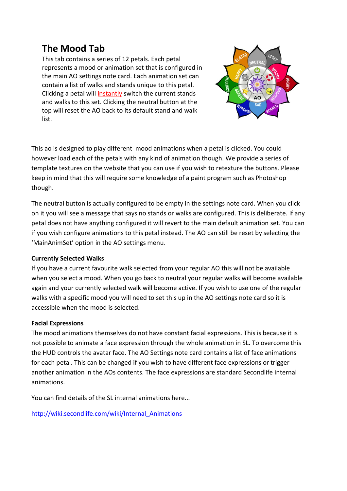## **The Mood Tab**

This tab contains a series of 12 petals. Each petal represents a mood or animation set that is configured in the main AO settings note card. Each animation set can contain a list of walks and stands unique to this petal. Clicking a petal will instantly switch the current stands and walks to this set. Clicking the neutral button at the top will reset the AO back to its default stand and walk list.



This ao is designed to play different mood animations when a petal is clicked. You could however load each of the petals with any kind of animation though. We provide a series of template textures on the website that you can use if you wish to retexture the buttons. Please keep in mind that this will require some knowledge of a paint program such as Photoshop though.

The neutral button is actually configured to be empty in the settings note card. When you click on it you will see a message that says no stands or walks are configured. This is deliberate. If any petal does not have anything configured it will revert to the main default animation set. You can if you wish configure animations to this petal instead. The AO can still be reset by selecting the 'MainAnimSet' option in the AO settings menu.

#### **Currently Selected Walks**

If you have a current favourite walk selected from your regular AO this will not be available when you select a mood. When you go back to neutral your regular walks will become available again and your currently selected walk will become active. If you wish to use one of the regular walks with a specific mood you will need to set this up in the AO settings note card so it is accessible when the mood is selected.

#### **Facial Expressions**

The mood animations themselves do not have constant facial expressions. This is because it is not possible to animate a face expression through the whole animation in SL. To overcome this the HUD controls the avatar face. The AO Settings note card contains a list of face animations for each petal. This can be changed if you wish to have different face expressions or trigger another animation in the AOs contents. The face expressions are standard Secondlife internal animations.

You can find details of the SL internal animations here...

[http://wiki.secondlife.com/wiki/Internal\\_Animations](http://wiki.secondlife.com/wiki/Internal_Animations)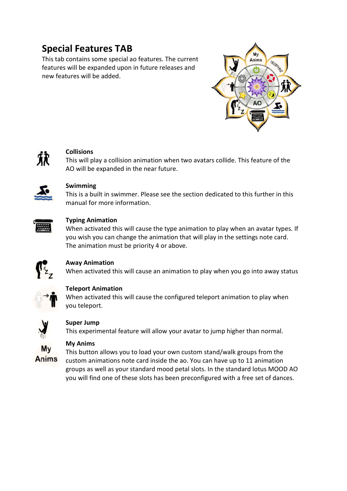# **Special Features TAB**

This tab contains some special ao features. The current features will be expanded upon in future releases and new features will be added.





## **Collisions**

This will play a collision animation when two avatars collide. This feature of the AO will be expanded in the near future.



#### **Swimming**

This is a built in swimmer. Please see the section dedicated to this further in this manual for more information.



#### **Typing Animation**

When activated this will cause the type animation to play when an avatar types. If you wish you can change the animation that will play in the settings note card. The animation must be priority 4 or above.



## **Away Animation**

When activated this will cause an animation to play when you go into away status



#### **Teleport Animation**

When activated this will cause the configured teleport animation to play when you teleport.



## **Super Jump**

This experimental feature will allow your avatar to jump higher than normal.



#### **My Anims**

This button allows you to load your own custom stand/walk groups from the custom animations note card inside the ao. You can have up to 11 animation groups as well as your standard mood petal slots. In the standard lotus MOOD AO you will find one of these slots has been preconfigured with a free set of dances.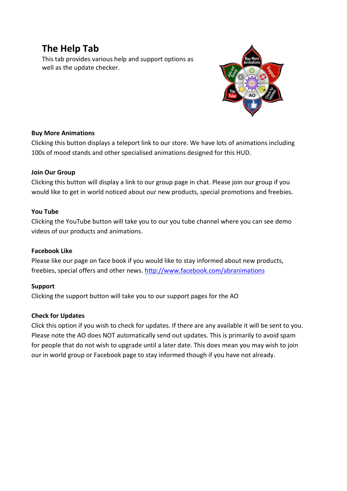## **The Help Tab**

This tab provides various help and support options as well as the update checker.



#### **Buy More Animations**

Clicking this button displays a teleport link to our store. We have lots of animations including 100s of mood stands and other specialised animations designed for this HUD.

## **Join Our Group**

Clicking this button will display a link to our group page in chat. Please join our group if you would like to get in world noticed about our new products, special promotions and freebies.

## **You Tube**

Clicking the YouTube button will take you to our you tube channel where you can see demo videos of our products and animations.

#### **Facebook Like**

Please like our page on face book if you would like to stay informed about new products, freebies, special offers and other news.<http://www.facebook.com/abranimations>

## **Support**

Clicking the support button will take you to our support pages for the AO

## **Check for Updates**

Click this option if you wish to check for updates. If there are any available it will be sent to you. Please note the AO does NOT automatically send out updates. This is primarily to avoid spam for people that do not wish to upgrade until a later date. This does mean you may wish to join our in world group or Facebook page to stay informed though if you have not already.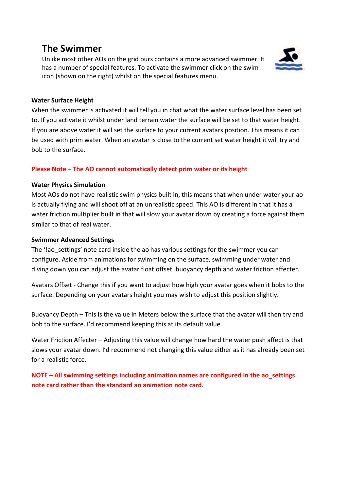## **The Swimmer**

Unlike most other AOs on the grid ours contains a more advanced swimmer. It has a number of special features. To activate the swimmer click on the swim icon (shown on the right) whilst on the special features menu.



#### **Water Surface Height**

When the swimmer is activated it will tell you in chat what the water surface level has been set to. If you activate it whilst under land terrain water the surface will be set to that water height. If you are above water it will set the surface to your current avatars position. This means it can be used with prim water. When an avatar is close to the current set water height it will try and bob to the surface.

#### **Please Note – The AO cannot automatically detect prim water or its height**

#### **Water Physics Simulation**

Most AOs do not have realistic swim physics built in, this means that when under water your ao is actually flying and will shoot off at an unrealistic speed. This AO is different in that it has a water friction multiplier built in that will slow your avatar down by creating a force against them similar to that of real water.

#### **Swimmer Advanced Settings**

The '!ao settings' note card inside the ao has various settings for the swimmer you can configure. Aside from animations for swimming on the surface, swimming under water and diving down you can adjust the avatar float offset, buoyancy depth and water friction affecter.

Avatars Offset - Change this if you want to adjust how high your avatar goes when it bobs to the surface. Depending on your avatars height you may wish to adjust this position slightly.

Buoyancy Depth – This is the value in Meters below the surface that the avatar will then try and bob to the surface. I'd recommend keeping this at its default value.

Water Friction Affecter – Adjusting this value will change how hard the water push affect is that slows your avatar down. I'd recommend not changing this value either as it has already been set for a realistic force.

**NOTE – All swimming settings including animation names are configured in the ao\_settings note card rather than the standard ao animation note card.**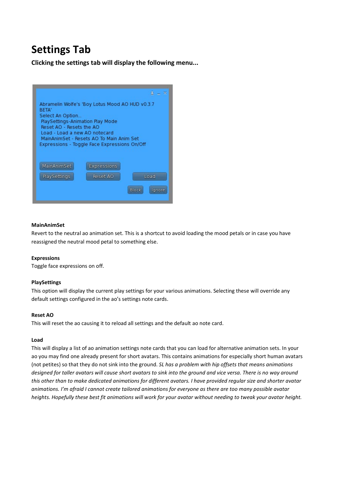# **Settings Tab**

**Clicking the settings tab will display the following menu...**



#### **MainAnimSet**

Revert to the neutral ao animation set. This is a shortcut to avoid loading the mood petals or in case you have reassigned the neutral mood petal to something else.

#### **Expressions**

Toggle face expressions on off.

#### **PlaySettings**

This option will display the current play settings for your various animations. Selecting these will override any default settings configured in the ao's settings note cards.

#### **Reset AO**

This will reset the ao causing it to reload all settings and the default ao note card.

#### **Load**

This will display a list of ao animation settings note cards that you can load for alternative animation sets. In your ao you may find one already present for short avatars. This contains animations for especially short human avatars (not petites) so that they do not sink into the ground. *SL has a problem with hip offsets that means animations designed for taller avatars will cause short avatars to sink into the ground and vice versa. There is no way around this other than to make dedicated animations for different avatars. I have provided regular size and shorter avatar animations. I'm afraid I cannot create tailored animations for everyone as there are too many possible avatar heights. Hopefully these best fit animations will work for your avatar without needing to tweak your avatar height.*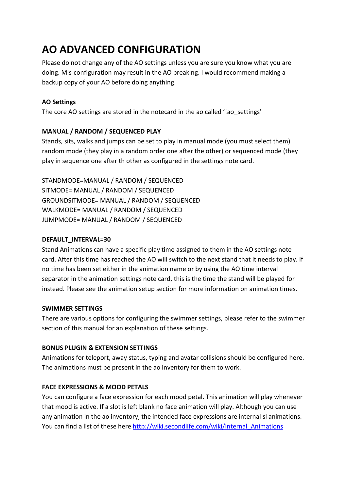# **AO ADVANCED CONFIGURATION**

Please do not change any of the AO settings unless you are sure you know what you are doing. Mis-configuration may result in the AO breaking. I would recommend making a backup copy of your AO before doing anything.

## **AO Settings**

The core AO settings are stored in the notecard in the ao called '!ao settings'

#### **MANUAL / RANDOM / SEQUENCED PLAY**

Stands, sits, walks and jumps can be set to play in manual mode (you must select them) random mode (they play in a random order one after the other) or sequenced mode (they play in sequence one after th other as configured in the settings note card.

STANDMODE=MANUAL / RANDOM / SEQUENCED SITMODE= MANUAL / RANDOM / SEQUENCED GROUNDSITMODE= MANUAL / RANDOM / SEQUENCED WALKMODE= MANUAL / RANDOM / SEQUENCED JUMPMODE= MANUAL / RANDOM / SEQUENCED

#### **DEFAULT\_INTERVAL=30**

Stand Animations can have a specific play time assigned to them in the AO settings note card. After this time has reached the AO will switch to the next stand that it needs to play. If no time has been set either in the animation name or by using the AO time interval separator in the animation settings note card, this is the time the stand will be played for instead. Please see the animation setup section for more information on animation times.

#### **SWIMMER SETTINGS**

There are various options for configuring the swimmer settings, please refer to the swimmer section of this manual for an explanation of these settings.

#### **BONUS PLUGIN & EXTENSION SETTINGS**

Animations for teleport, away status, typing and avatar collisions should be configured here. The animations must be present in the ao inventory for them to work.

## **FACE EXPRESSIONS & MOOD PETALS**

You can configure a face expression for each mood petal. This animation will play whenever that mood is active. If a slot is left blank no face animation will play. Although you can use any animation in the ao inventory, the intended face expressions are internal sl animations. You can find a list of these her[e http://wiki.secondlife.com/wiki/Internal\\_Animations](http://wiki.secondlife.com/wiki/Internal_Animations)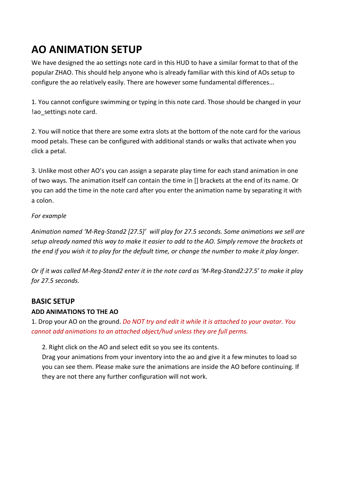# **AO ANIMATION SETUP**

We have designed the ao settings note card in this HUD to have a similar format to that of the popular ZHAO. This should help anyone who is already familiar with this kind of AOs setup to configure the ao relatively easily. There are however some fundamental differences...

1. You cannot configure swimming or typing in this note card. Those should be changed in your !ao\_settings note card.

2. You will notice that there are some extra slots at the bottom of the note card for the various mood petals. These can be configured with additional stands or walks that activate when you click a petal.

3. Unlike most other AO's you can assign a separate play time for each stand animation in one of two ways. The animation itself can contain the time in [] brackets at the end of its name. Or you can add the time in the note card after you enter the animation name by separating it with a colon.

## *For example*

*Animation named 'M-Reg-Stand2 [27.5]' will play for 27.5 seconds. Some animations we sell are setup already named this way to make it easier to add to the AO. Simply remove the brackets at the end if you wish it to play for the default time, or change the number to make it play longer.*

*Or if it was called M-Reg-Stand2 enter it in the note card as 'M-Reg-Stand2:27.5' to make it play for 27.5 seconds.*

## **BASIC SETUP**

## **ADD ANIMATIONS TO THE AO**

1. Drop your AO on the ground. *Do NOT try and edit it while it is attached to your avatar. You cannot add animations to an attached object/hud unless they are full perms.*

2. Right click on the AO and select edit so you see its contents.

Drag your animations from your inventory into the ao and give it a few minutes to load so you can see them. Please make sure the animations are inside the AO before continuing. If they are not there any further configuration will not work.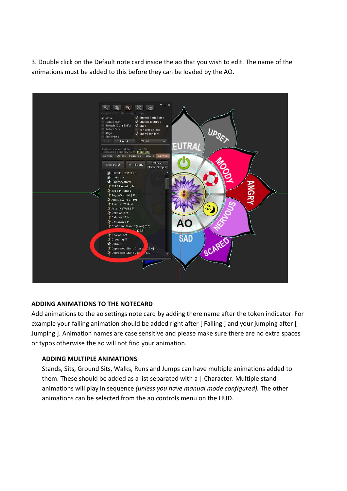3. Double click on the Default note card inside the ao that you wish to edit. The name of the animations must be added to this before they can be loaded by the AO.



#### **ADDING ANIMATIONS TO THE NOTECARD**

Add animations to the ao settings note card by adding there name after the token indicator. For example your falling animation should be added right after [ Falling ] and your jumping after [ Jumping ]. Animation names are case sensitive and please make sure there are no extra spaces or typos otherwise the ao will not find your animation.

#### **ADDING MULTIPLE ANIMATIONS**

Stands, Sits, Ground Sits, Walks, Runs and Jumps can have multiple animations added to them. These should be added as a list separated with a | Character. Multiple stand animations will play in sequence *(unless you have manual mode configured).* The other animations can be selected from the ao controls menu on the HUD.